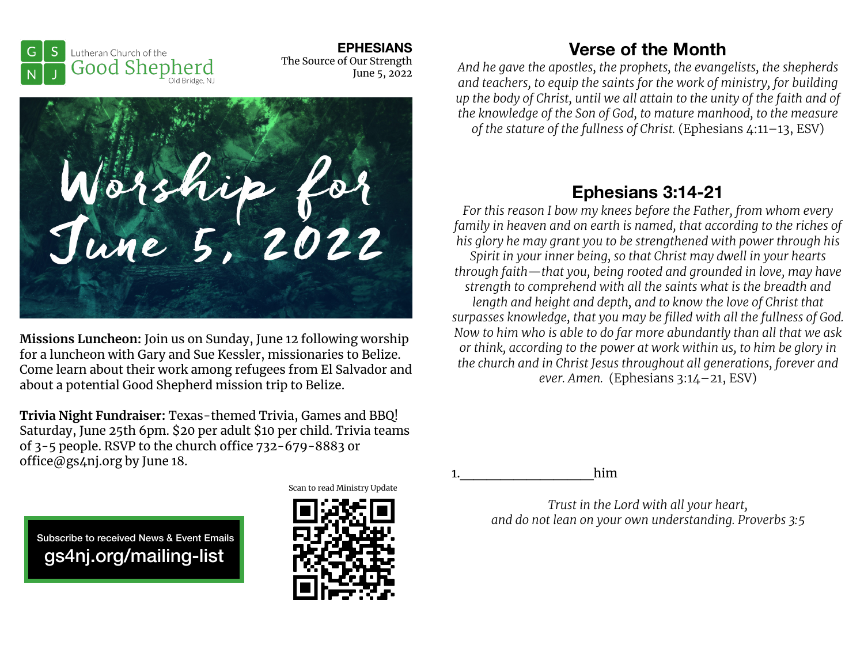**EPHESIANS**  The Source of Our Strength June 5, 2022



Worship for<br>June 5, 2022

**Missions Luncheon:** Join us on Sunday, June 12 following worship for a luncheon with Gary and Sue Kessler, missionaries to Belize. Come learn about their work among refugees from El Salvador and about a potential Good Shepherd mission trip to Belize.

**Trivia Night Fundraiser:** Texas-themed Trivia, Games and BBQ! Saturday, June 25th 6pm. \$20 per adult \$10 per child. Trivia teams of  $3-5$  people. RSVP to the church office  $732-679-8883$  or office@gs4nj.org by June 18.

## **Verse of the Month**

*And he gave the apostles, the prophets, the evangelists, the shepherds and teachers, to equip the saints for the work of ministry, for building up the body of Christ, until we all attain to the unity of the faith and of the knowledge of the Son of God, to mature manhood, to the measure of the stature of the fullness of Christ.* (Ephesians 4:11–13, ESV)

## **Ephesians 3:14-21**

*For this reason I bow my knees before the Father, from whom every family in heaven and on earth is named, that according to the riches of his glory he may grant you to be strengthened with power through his Spirit in your inner being, so that Christ may dwell in your hearts through faith—that you, being rooted and grounded in love, may have strength to comprehend with all the saints what is the breadth and length and height and depth, and to know the love of Christ that surpasses knowledge, that you may be filled with all the fullness of God. Now to him who is able to do far more abundantly than all that we ask or think, according to the power at work within us, to him be glory in the church and in Christ Jesus throughout all generations, forever and ever. Amen.* (Ephesians 3:14–21, ESV)

1.\_\_\_\_\_\_\_\_\_\_him

*Trust in the Lord with all your heart, and do not lean on your own understanding. Proverbs 3:5*

 Subscribe to received News & Event Emails gs4nj.org/mailing-list



Scan to read Ministry Update